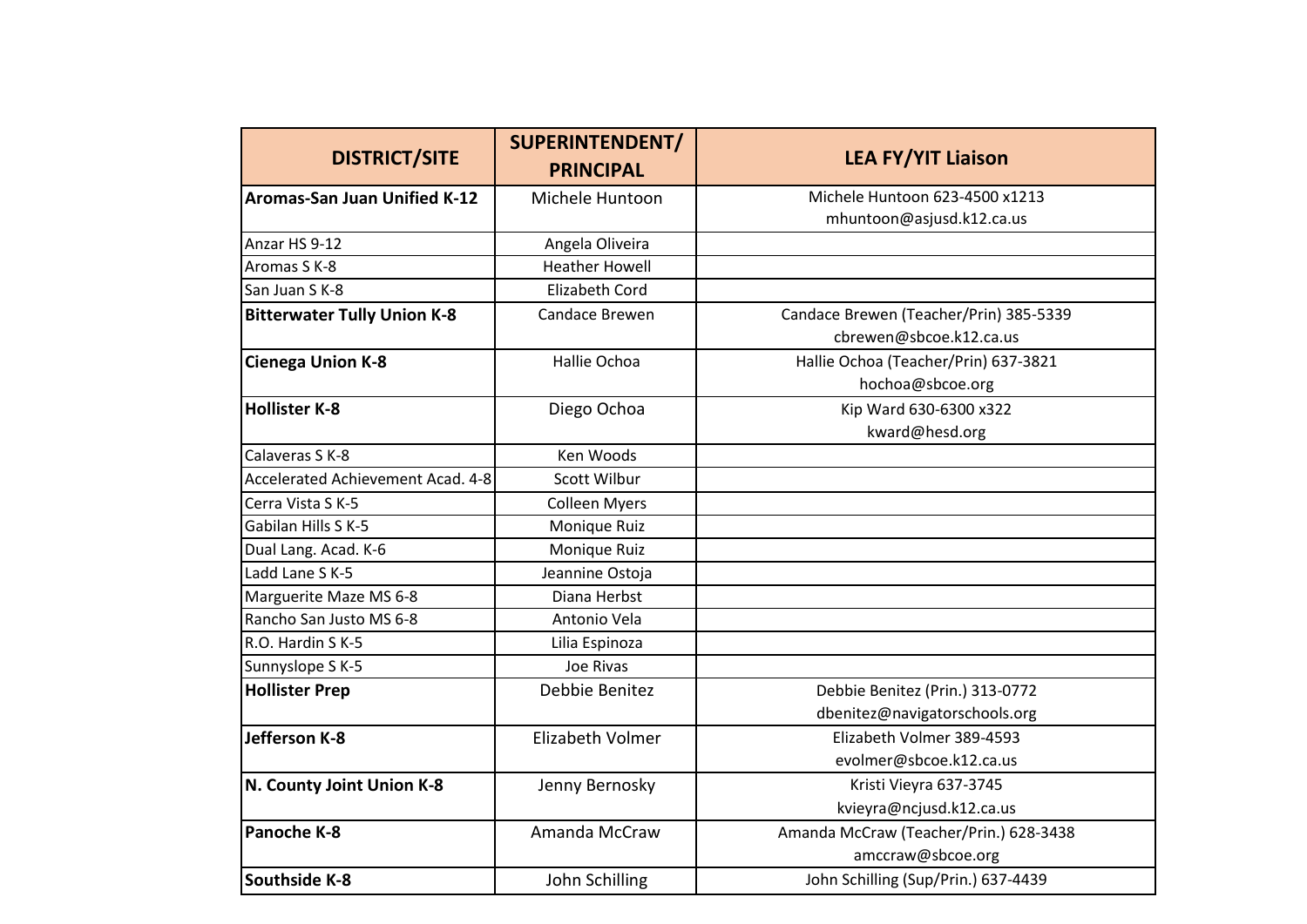| <b>DISTRICT/SITE</b>                | <b>SUPERINTENDENT/</b><br><b>PRINCIPAL</b> | <b>LEA FY/YIT Liaison</b>              |
|-------------------------------------|--------------------------------------------|----------------------------------------|
| <b>Aromas-San Juan Unified K-12</b> | Michele Huntoon                            | Michele Huntoon 623-4500 x1213         |
|                                     |                                            | mhuntoon@asjusd.k12.ca.us              |
| Anzar HS 9-12                       | Angela Oliveira                            |                                        |
| Aromas S K-8                        | <b>Heather Howell</b>                      |                                        |
| San Juan S K-8                      | <b>Elizabeth Cord</b>                      |                                        |
| <b>Bitterwater Tully Union K-8</b>  | Candace Brewen                             | Candace Brewen (Teacher/Prin) 385-5339 |
|                                     |                                            | cbrewen@sbcoe.k12.ca.us                |
| <b>Cienega Union K-8</b>            | Hallie Ochoa                               | Hallie Ochoa (Teacher/Prin) 637-3821   |
|                                     |                                            | hochoa@sbcoe.org                       |
| <b>Hollister K-8</b>                | Diego Ochoa                                | Kip Ward 630-6300 x322                 |
|                                     |                                            | kward@hesd.org                         |
| Calaveras S K-8                     | Ken Woods                                  |                                        |
| Accelerated Achievement Acad. 4-8   | Scott Wilbur                               |                                        |
| Cerra Vista S K-5                   | <b>Colleen Myers</b>                       |                                        |
| Gabilan Hills S K-5                 | Monique Ruiz                               |                                        |
| Dual Lang. Acad. K-6                | Monique Ruiz                               |                                        |
| Ladd Lane S K-5                     | Jeannine Ostoja                            |                                        |
| Marguerite Maze MS 6-8              | Diana Herbst                               |                                        |
| Rancho San Justo MS 6-8             | Antonio Vela                               |                                        |
| R.O. Hardin S K-5                   | Lilia Espinoza                             |                                        |
| Sunnyslope S K-5                    | Joe Rivas                                  |                                        |
| <b>Hollister Prep</b>               | Debbie Benitez                             | Debbie Benitez (Prin.) 313-0772        |
|                                     |                                            | dbenitez@navigatorschools.org          |
| Jefferson K-8                       | Elizabeth Volmer                           | Elizabeth Volmer 389-4593              |
|                                     |                                            | evolmer@sbcoe.k12.ca.us                |
| N. County Joint Union K-8           | Jenny Bernosky                             | Kristi Vieyra 637-3745                 |
|                                     |                                            | kvieyra@ncjusd.k12.ca.us               |
| Panoche K-8                         | Amanda McCraw                              | Amanda McCraw (Teacher/Prin.) 628-3438 |
|                                     |                                            | amccraw@sbcoe.org                      |
| <b>Southside K-8</b>                | John Schilling                             | John Schilling (Sup/Prin.) 637-4439    |